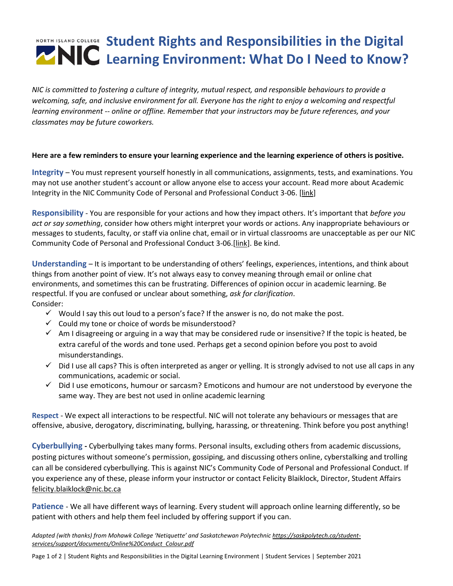## **Student Rights and Responsibilities in the Digital Learning Environment: What Do I Need to Know?**

*NIC is committed to fostering a culture of integrity, mutual respect, and responsible behaviours to provide a welcoming, safe, and inclusive environment for all. Everyone has the right to enjoy a welcoming and respectful learning environment -- online or offline. Remember that your instructors may be future references, and your classmates may be future coworkers.*

## **Here are a few reminders to ensure your learning experience and the learning experience of others is positive.**

**Integrity** – You must represent yourself honestly in all communications, assignments, tests, and examinations. You may not use another student's account or allow anyone else to access your account. Read more about Academic Integrity in the NIC Community Code of Personal and Professional Conduct 3-06. [\[link\]](https://www.nic.bc.ca/pdf/policy-3-06-community-code-of-academic-pers-and-prof-conduct.pdf)

**Responsibility** - You are responsible for your actions and how they impact others. It's important that *before you act or say something*, consider how others might interpret your words or actions. Any inappropriate behaviours or messages to students, faculty, or staff via online chat, email or in virtual classrooms are unacceptable as per our NIC Community Code of Personal and Professional Conduct 3-06.[\[link\]](https://www.nic.bc.ca/pdf/policy-3-06-community-code-of-academic-pers-and-prof-conduct.pdf). Be kind.

**Understanding** – It is important to be understanding of others' feelings, experiences, intentions, and think about things from another point of view. It's not always easy to convey meaning through email or online chat environments, and sometimes this can be frustrating. Differences of opinion occur in academic learning. Be respectful. If you are confused or unclear about something, *ask for clarification*. Consider:

- $\checkmark$  Would I say this out loud to a person's face? If the answer is no, do not make the post.
- $\checkmark$  Could my tone or choice of words be misunderstood?
- $\checkmark$  Am I disagreeing or arguing in a way that may be considered rude or insensitive? If the topic is heated, be extra careful of the words and tone used. Perhaps get a second opinion before you post to avoid misunderstandings.
- $\checkmark$  Did I use all caps? This is often interpreted as anger or yelling. It is strongly advised to not use all caps in any communications, academic or social.
- ✓ Did I use emoticons, humour or sarcasm? Emoticons and humour are not understood by everyone the same way. They are best not used in online academic learning

**Respect** - We expect all interactions to be respectful. NIC will not tolerate any behaviours or messages that are offensive, abusive, derogatory, discriminating, bullying, harassing, or threatening. Think before you post anything!

**Cyberbullying -** Cyberbullying takes many forms. Personal insults, excluding others from academic discussions, posting pictures without someone's permission, gossiping, and discussing others online, cyberstalking and trolling can all be considered cyberbullying. This is against NIC's Community Code of Personal and Professional Conduct. If you experience any of these, please inform your instructor or contact Felicity Blaiklock, Director, Student Affairs [felicity.blaiklock@nic.bc.ca](mailto:felicity.blaiklock@nic.bc.ca)

**Patience** - We all have different ways of learning. Every student will approach online learning differently, so be patient with others and help them feel included by offering support if you can.

*Adapted (with thanks) from Mohawk College 'Netiquette' and Saskatchewan Polytechni[c https://saskpolytech.ca/student](https://saskpolytech.ca/student-services/support/documents/Online%20Conduct_Colour.pdf)[services/support/documents/Online%20Conduct\\_Colour.pdf](https://saskpolytech.ca/student-services/support/documents/Online%20Conduct_Colour.pdf)*

Page 1 of 2 | Student Rights and Responsibilities in the Digital Learning Environment | Student Services | September 2021